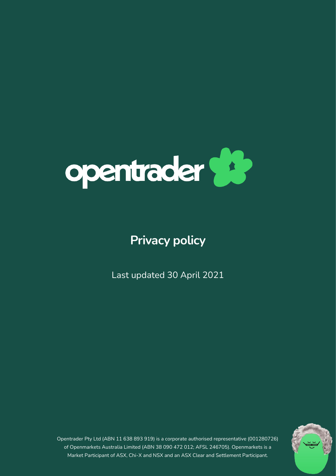

# **Privacy policy**

Last updated 30 April 2021



Market Participant of ASX, Chi-X and NSX and an ASX Clear and Settlement Participant. Opentrader Pty Ltd (ABN 11 638 893 919) is a corporate authorised representative (001280726) of Openmarkets Australia Limited (ABN 38 090 472 012; AFSL 246705). Openmarkets is a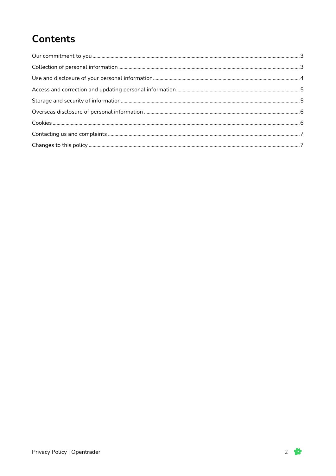# **Contents**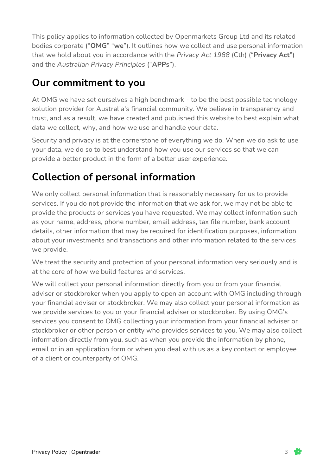This policy applies to information collected by Openmarkets Group Ltd and its related bodies corporate ("**OMG**" "**we**"). It outlines how we collect and use personal information that we hold about you in accordance with the *Privacy Act 1988* (Cth) ("**Privacy Act**") and the *Australian Privacy Principles* ("**APPs**").

#### <span id="page-2-0"></span>**Our commitment to you**

At OMG we have set ourselves a high benchmark - to be the best possible technology solution provider for Australia's financial community. We believe in transparency and trust, and as a result, we have created and published this website to best explain what data we collect, why, and how we use and handle your data.

Security and privacy is at the cornerstone of everything we do. When we do ask to use your data, we do so to best understand how you use our services so that we can provide a better product in the form of a better user experience.

# <span id="page-2-1"></span>**Collection of personal information**

We only collect personal information that is reasonably necessary for us to provide services. If you do not provide the information that we ask for, we may not be able to provide the products or services you have requested. We may collect information such as your name, address, phone number, email address, tax file number, bank account details, other information that may be required for identification purposes, information about your investments and transactions and other information related to the services we provide.

We treat the security and protection of your personal information very seriously and is at the core of how we build features and services.

We will collect your personal information directly from you or from your financial adviser or stockbroker when you apply to open an account with OMG including through your financial adviser or stockbroker. We may also collect your personal information as we provide services to you or your financial adviser or stockbroker. By using OMG's services you consent to OMG collecting your information from your financial adviser or stockbroker or other person or entity who provides services to you. We may also collect information directly from you, such as when you provide the information by phone, email or in an application form or when you deal with us as a key contact or employee of a client or counterparty of OMG.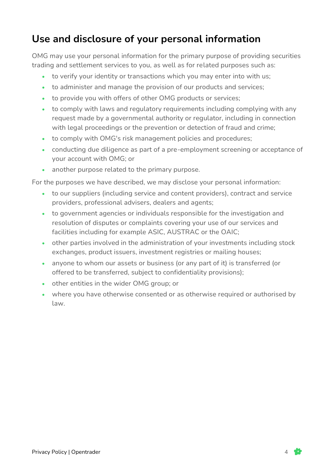#### <span id="page-3-0"></span>**Use and disclosure of your personal information**

OMG may use your personal information for the primary purpose of providing securities trading and settlement services to you, as well as for related purposes such as:

- to verify your identity or transactions which you may enter into with us;
- to administer and manage the provision of our products and services;
- to provide you with offers of other OMG products or services;
- to comply with laws and regulatory requirements including complying with any request made by a governmental authority or regulator, including in connection with legal proceedings or the prevention or detection of fraud and crime;
- to comply with OMG's risk management policies and procedures;
- conducting due diligence as part of a pre-employment screening or acceptance of your account with OMG; or
- another purpose related to the primary purpose.

For the purposes we have described, we may disclose your personal information:

- to our suppliers (including service and content providers), contract and service providers, professional advisers, dealers and agents;
- to government agencies or individuals responsible for the investigation and resolution of disputes or complaints covering your use of our services and facilities including for example ASIC, AUSTRAC or the OAIC;
- other parties involved in the administration of your investments including stock exchanges, product issuers, investment registries or mailing houses;
- anyone to whom our assets or business (or any part of it) is transferred (or offered to be transferred, subject to confidentiality provisions);
- other entities in the wider OMG group; or
- where you have otherwise consented or as otherwise required or authorised by law.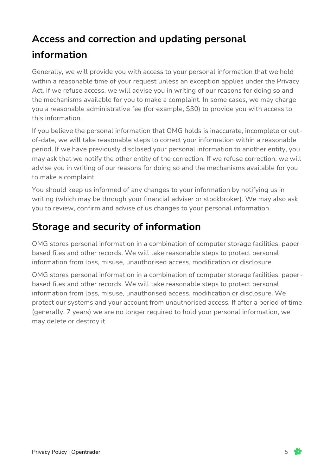#### <span id="page-4-0"></span>**Access and correction and updating personal**

# **information**

Generally, we will provide you with access to your personal information that we hold within a reasonable time of your request unless an exception applies under the Privacy Act. If we refuse access, we will advise you in writing of our reasons for doing so and the mechanisms available for you to make a complaint. In some cases, we may charge you a reasonable administrative fee (for example, \$30) to provide you with access to this information.

If you believe the personal information that OMG holds is inaccurate, incomplete or outof-date, we will take reasonable steps to correct your information within a reasonable period. If we have previously disclosed your personal information to another entity, you may ask that we notify the other entity of the correction. If we refuse correction, we will advise you in writing of our reasons for doing so and the mechanisms available for you to make a complaint.

You should keep us informed of any changes to your information by notifying us in writing (which may be through your financial adviser or stockbroker). We may also ask you to review, confirm and advise of us changes to your personal information.

# <span id="page-4-1"></span>**Storage and security of information**

OMG stores personal information in a combination of computer storage facilities, paperbased files and other records. We will take reasonable steps to protect personal information from loss, misuse, unauthorised access, modification or disclosure.

OMG stores personal information in a combination of computer storage facilities, paperbased files and other records. We will take reasonable steps to protect personal information from loss, misuse, unauthorised access, modification or disclosure. We protect our systems and your account from unauthorised access. If after a period of time (generally, 7 years) we are no longer required to hold your personal information, we may delete or destroy it.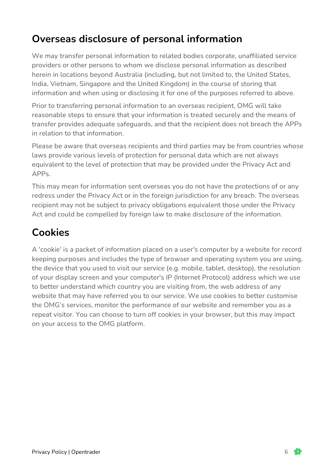#### <span id="page-5-0"></span>**Overseas disclosure of personal information**

We may transfer personal information to related bodies corporate, unaffiliated service providers or other persons to whom we disclose personal information as described herein in locations beyond Australia (including, but not limited to, the United States, India, Vietnam, Singapore and the United Kingdom) in the course of storing that information and when using or disclosing it for one of the purposes referred to above.

Prior to transferring personal information to an overseas recipient, OMG will take reasonable steps to ensure that your information is treated securely and the means of transfer provides adequate safeguards, and that the recipient does not breach the APPs in relation to that information.

Please be aware that overseas recipients and third parties may be from countries whose laws provide various levels of protection for personal data which are not always equivalent to the level of protection that may be provided under the Privacy Act and APPs.

This may mean for information sent overseas you do not have the protections of or any redress under the Privacy Act or in the foreign jurisdiction for any breach. The overseas recipient may not be subject to privacy obligations equivalent those under the Privacy Act and could be compelled by foreign law to make disclosure of the information.

#### <span id="page-5-1"></span>**Cookies**

A 'cookie' is a packet of information placed on a user's computer by a website for record keeping purposes and includes the type of browser and operating system you are using, the device that you used to visit our service (e.g. mobile, tablet, desktop), the resolution of your display screen and your computer's IP (Internet Protocol) address which we use to better understand which country you are visiting from, the web address of any website that may have referred you to our service. We use cookies to better customise the OMG's services, monitor the performance of our website and remember you as a repeat visitor. You can choose to turn off cookies in your browser, but this may impact on your access to the OMG platform.